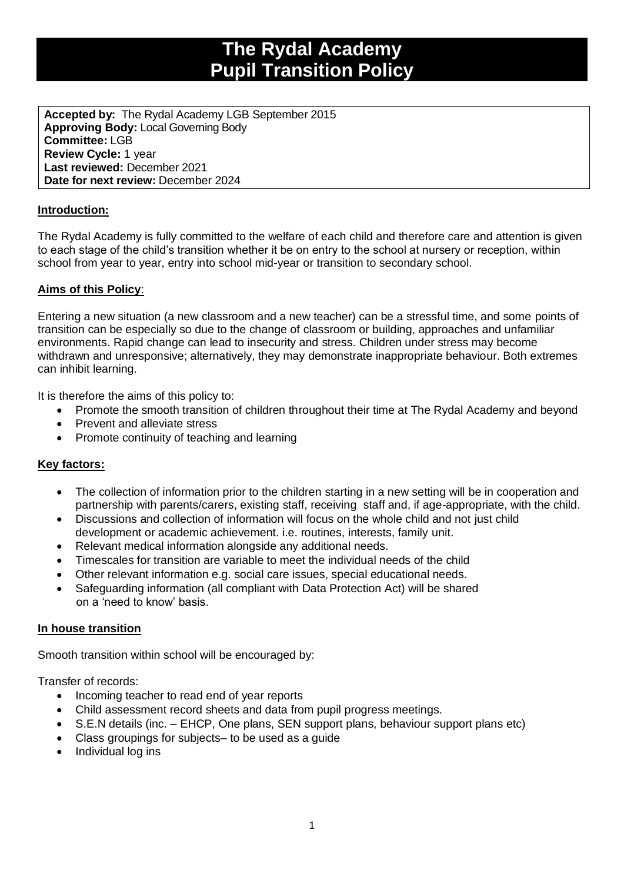# **The Rydal Academy Pupil Transition Policy**

**Accepted by:** The Rydal Academy LGB September 2015 **Approving Body:** Local Governing Body **Committee:** LGB **Review Cycle:** 1 year **Last reviewed:** December 2021 **Date for next review:** December 2024

## **Introduction:**

The Rydal Academy is fully committed to the welfare of each child and therefore care and attention is given to each stage of the child's transition whether it be on entry to the school at nursery or reception, within school from year to year, entry into school mid-year or transition to secondary school.

## **Aims of this Policy**:

Entering a new situation (a new classroom and a new teacher) can be a stressful time, and some points of transition can be especially so due to the change of classroom or building, approaches and unfamiliar environments. Rapid change can lead to insecurity and stress. Children under stress may become withdrawn and unresponsive; alternatively, they may demonstrate inappropriate behaviour. Both extremes can inhibit learning.

It is therefore the aims of this policy to:

- Promote the smooth transition of children throughout their time at The Rydal Academy and beyond
- Prevent and alleviate stress
- Promote continuity of teaching and learning

## **Key factors:**

- The collection of information prior to the children starting in a new setting will be in cooperation and partnership with parents/carers, existing staff, receiving staff and, if age-appropriate, with the child.
- Discussions and collection of information will focus on the whole child and not just child development or academic achievement. i.e. routines, interests, family unit.
- Relevant medical information alongside any additional needs.
- Timescales for transition are variable to meet the individual needs of the child
- Other relevant information e.g. social care issues, special educational needs.
- Safeguarding information (all compliant with Data Protection Act) will be shared on a 'need to know' basis.

## **In house transition**

Smooth transition within school will be encouraged by:

Transfer of records:

- Incoming teacher to read end of year reports
- Child assessment record sheets and data from pupil progress meetings.
- S.E.N details (inc. EHCP, One plans, SEN support plans, behaviour support plans etc)
- Class groupings for subjects– to be used as a guide
- Individual log ins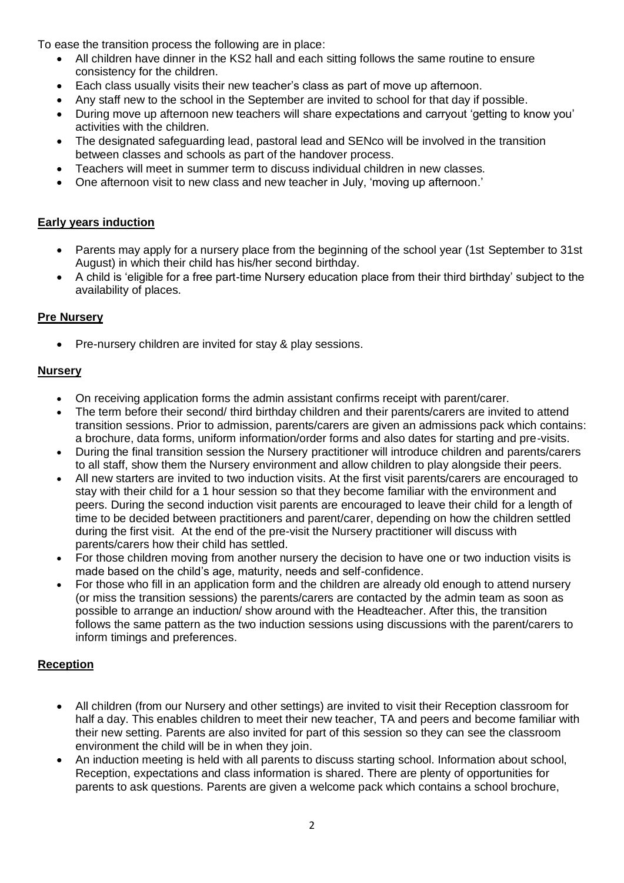To ease the transition process the following are in place:

- All children have dinner in the KS2 hall and each sitting follows the same routine to ensure consistency for the children.
- Each class usually visits their new teacher's class as part of move up afternoon.
- Any staff new to the school in the September are invited to school for that day if possible.
- During move up afternoon new teachers will share expectations and carryout 'getting to know you' activities with the children.
- The designated safeguarding lead, pastoral lead and SENco will be involved in the transition between classes and schools as part of the handover process.
- Teachers will meet in summer term to discuss individual children in new classes.
- One afternoon visit to new class and new teacher in July, 'moving up afternoon.'

## **Early years induction**

- Parents may apply for a nursery place from the beginning of the school year (1st September to 31st August) in which their child has his/her second birthday.
- A child is 'eligible for a free part-time Nursery education place from their third birthday' subject to the availability of places.

## **Pre Nursery**

• Pre-nursery children are invited for stay & play sessions.

## **Nursery**

- On receiving application forms the admin assistant confirms receipt with parent/carer.
- The term before their second/ third birthday children and their parents/carers are invited to attend transition sessions. Prior to admission, parents/carers are given an admissions pack which contains: a brochure, data forms, uniform information/order forms and also dates for starting and pre-visits.
- During the final transition session the Nursery practitioner will introduce children and parents/carers to all staff, show them the Nursery environment and allow children to play alongside their peers.
- All new starters are invited to two induction visits. At the first visit parents/carers are encouraged to stay with their child for a 1 hour session so that they become familiar with the environment and peers. During the second induction visit parents are encouraged to leave their child for a length of time to be decided between practitioners and parent/carer, depending on how the children settled during the first visit. At the end of the pre-visit the Nursery practitioner will discuss with parents/carers how their child has settled.
- For those children moving from another nursery the decision to have one or two induction visits is made based on the child's age, maturity, needs and self-confidence.
- For those who fill in an application form and the children are already old enough to attend nursery (or miss the transition sessions) the parents/carers are contacted by the admin team as soon as possible to arrange an induction/ show around with the Headteacher. After this, the transition follows the same pattern as the two induction sessions using discussions with the parent/carers to inform timings and preferences.

## **Reception**

- All children (from our Nursery and other settings) are invited to visit their Reception classroom for half a day. This enables children to meet their new teacher, TA and peers and become familiar with their new setting. Parents are also invited for part of this session so they can see the classroom environment the child will be in when they join.
- An induction meeting is held with all parents to discuss starting school. Information about school, Reception, expectations and class information is shared. There are plenty of opportunities for parents to ask questions. Parents are given a welcome pack which contains a school brochure,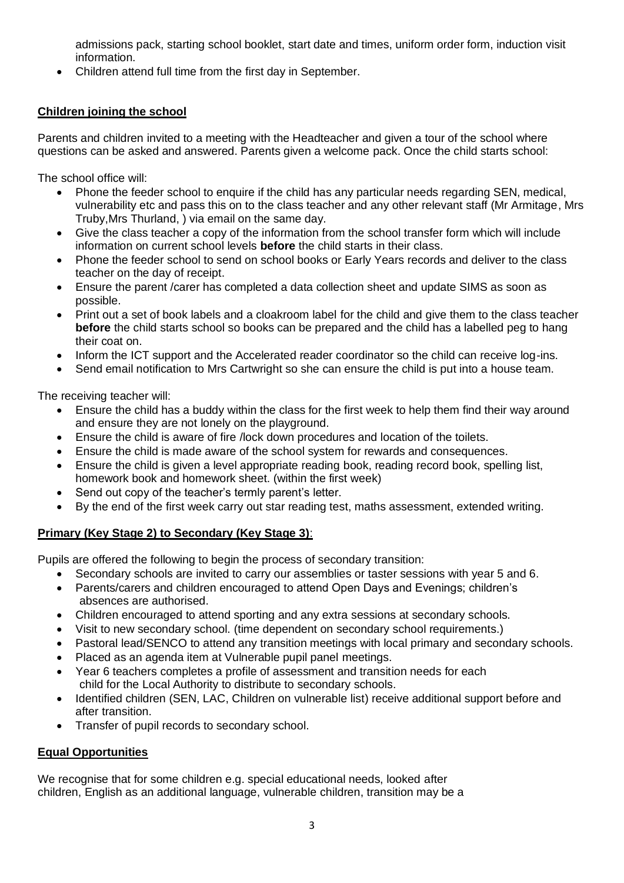admissions pack, starting school booklet, start date and times, uniform order form, induction visit information.

• Children attend full time from the first day in September.

# **Children joining the school**

Parents and children invited to a meeting with the Headteacher and given a tour of the school where questions can be asked and answered. Parents given a welcome pack. Once the child starts school:

The school office will:

- Phone the feeder school to enquire if the child has any particular needs regarding SEN, medical, vulnerability etc and pass this on to the class teacher and any other relevant staff (Mr Armitage, Mrs Truby,Mrs Thurland, ) via email on the same day.
- Give the class teacher a copy of the information from the school transfer form which will include information on current school levels **before** the child starts in their class.
- Phone the feeder school to send on school books or Early Years records and deliver to the class teacher on the day of receipt.
- Ensure the parent /carer has completed a data collection sheet and update SIMS as soon as possible.
- Print out a set of book labels and a cloakroom label for the child and give them to the class teacher **before** the child starts school so books can be prepared and the child has a labelled peg to hang their coat on.
- Inform the ICT support and the Accelerated reader coordinator so the child can receive log-ins.
- Send email notification to Mrs Cartwright so she can ensure the child is put into a house team.

The receiving teacher will:

- Ensure the child has a buddy within the class for the first week to help them find their way around and ensure they are not lonely on the playground.
- Ensure the child is aware of fire /lock down procedures and location of the toilets.
- Ensure the child is made aware of the school system for rewards and consequences.
- Ensure the child is given a level appropriate reading book, reading record book, spelling list, homework book and homework sheet. (within the first week)
- Send out copy of the teacher's termly parent's letter.
- By the end of the first week carry out star reading test, maths assessment, extended writing.

# **Primary (Key Stage 2) to Secondary (Key Stage 3)**:

Pupils are offered the following to begin the process of secondary transition:

- Secondary schools are invited to carry our assemblies or taster sessions with year 5 and 6.
- Parents/carers and children encouraged to attend Open Days and Evenings; children's absences are authorised.
- Children encouraged to attend sporting and any extra sessions at secondary schools.
- Visit to new secondary school. (time dependent on secondary school requirements.)
- Pastoral lead/SENCO to attend any transition meetings with local primary and secondary schools.
- Placed as an agenda item at Vulnerable pupil panel meetings.
- Year 6 teachers completes a profile of assessment and transition needs for each child for the Local Authority to distribute to secondary schools.
- Identified children (SEN, LAC, Children on vulnerable list) receive additional support before and after transition.
- Transfer of pupil records to secondary school.

# **Equal Opportunities**

We recognise that for some children e.g. special educational needs, looked after children, English as an additional language, vulnerable children, transition may be a